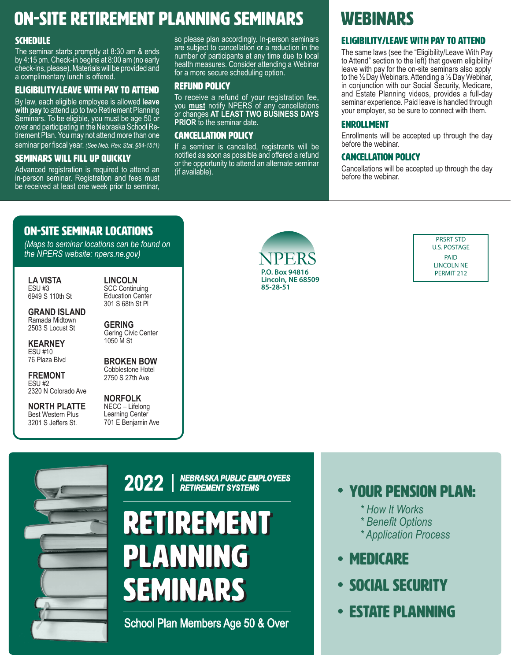### ON-SITE RETIREMENT PLANNING SEMINARS WEBINARS

#### **SCHEDULE**

The seminar starts promptly at 8:30 am & ends by 4:15 pm. Check-in begins at 8:00 am (no early check-ins, please). Materials will be provided and a complimentary lunch is offered.

#### ELIGIBILITY/LEAVE WITH PAY TO ATTEND

By law, each eligible employee is allowed **leave with pay** to attend up to two Retirement Planning Seminars. To be eligible, you must be age 50 or over and participating in the Nebraska School Retirement Plan. You may not attend more than one seminar per fiscal year. *(See Neb. Rev. Stat. §84-1511)*

#### SEMINARS WILL FILL UP QUICKLY

Advanced registration is required to attend an in-person seminar. Registration and fees must be received at least one week prior to seminar,

so please plan accordingly. In-person seminars are subject to cancellation or a reduction in the number of participants at any time due to local health measures. Consider attending a Webinar for a more secure scheduling option.

#### REFUND POLICY

To receive a refund of your registration fee, you **must** notify NPERS of any cancellations or changes **AT LEAST TWO BUSINESS DAYS PRIOR** to the seminar date.

#### CANCELLATION POLICY

If a seminar is cancelled, registrants will be notified as soon as possible and offered a refund or the opportunity to attend an alternate seminar (if available).

#### ELIGIBILITY/LEAVE WITH PAY TO ATTEND

The same laws (see the "Eligibility/Leave With Pay to Attend" section to the left) that govern eligibility/ leave with pay for the on-site seminars also apply to the ½ Day Webinars. Attending a ½ Day Webinar, in conjunction with our Social Security, Medicare, and Estate Planning videos, provides a full-day seminar experience. Paid leave is handled through your employer, so be sure to connect with them.

#### ENROLLMENT

Enrollments will be accepted up through the day before the webinar.

#### CANCELLATION POLICY

Cancellations will be accepted up through the day before the webinar.

#### ON-SITE SEMINAR LOCATIONS

*(Maps to seminar locations can be found on the NPERS website: npers.ne.gov)*

**LA VISTA**  ESU #3 6949 S 110th St

**GRAND ISLAND** Ramada Midtown 2503 S Locust St

**KEARNEY** ESU #10 76 Plaza Blvd

**FREMONT** ESU #2 2320 N Colorado Ave

**NORTH PLATTE**  Best Western Plus 3201 S Jeffers St.

**LINCOLN** SCC Continuing Education Center 301 S 68th St Pl

**GERING**  Gering Civic Center 1050 M St

**BROKEN BOW**  Cobblestone Hotel 2750 S 27th Ave

**NORFOLK**  NECC – Lifelong Learning Center 701 E Benjamin Ave



PRSRT STD U.S. POSTAGE PAID LINCOLN NE



*NEBRASKA PUBLIC EMPLOYEES RETIREMENT SYSTEMS* **2022**

# RETIREMENT RETIREMENT PLANNING PLANNING SEMINARS SEMINARS

School Plan Members Age 50 & Over

- Your Pension Plan:
	- *\* How It Works*
	- *\* Benefit Options*
	- *\* Application Process*
- Medicare
- SOCIAL SECURITY
- Estate Planning